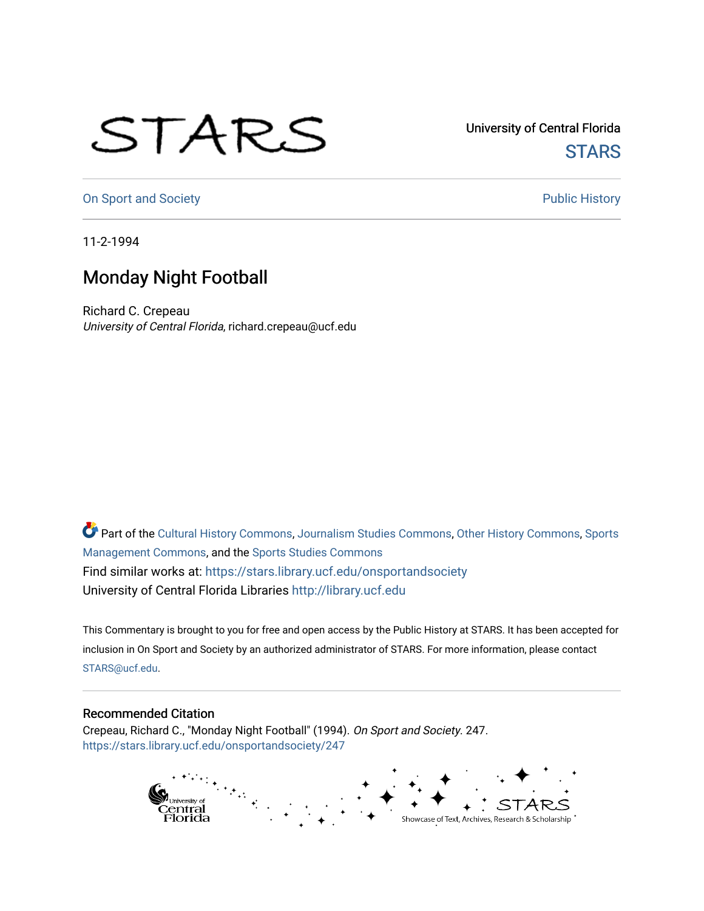## STARS

University of Central Florida **STARS** 

[On Sport and Society](https://stars.library.ucf.edu/onsportandsociety) **Public History** Public History

11-2-1994

## Monday Night Football

Richard C. Crepeau University of Central Florida, richard.crepeau@ucf.edu

Part of the [Cultural History Commons](http://network.bepress.com/hgg/discipline/496?utm_source=stars.library.ucf.edu%2Fonsportandsociety%2F247&utm_medium=PDF&utm_campaign=PDFCoverPages), [Journalism Studies Commons,](http://network.bepress.com/hgg/discipline/333?utm_source=stars.library.ucf.edu%2Fonsportandsociety%2F247&utm_medium=PDF&utm_campaign=PDFCoverPages) [Other History Commons,](http://network.bepress.com/hgg/discipline/508?utm_source=stars.library.ucf.edu%2Fonsportandsociety%2F247&utm_medium=PDF&utm_campaign=PDFCoverPages) [Sports](http://network.bepress.com/hgg/discipline/1193?utm_source=stars.library.ucf.edu%2Fonsportandsociety%2F247&utm_medium=PDF&utm_campaign=PDFCoverPages) [Management Commons](http://network.bepress.com/hgg/discipline/1193?utm_source=stars.library.ucf.edu%2Fonsportandsociety%2F247&utm_medium=PDF&utm_campaign=PDFCoverPages), and the [Sports Studies Commons](http://network.bepress.com/hgg/discipline/1198?utm_source=stars.library.ucf.edu%2Fonsportandsociety%2F247&utm_medium=PDF&utm_campaign=PDFCoverPages) Find similar works at: <https://stars.library.ucf.edu/onsportandsociety> University of Central Florida Libraries [http://library.ucf.edu](http://library.ucf.edu/) 

This Commentary is brought to you for free and open access by the Public History at STARS. It has been accepted for inclusion in On Sport and Society by an authorized administrator of STARS. For more information, please contact [STARS@ucf.edu](mailto:STARS@ucf.edu).

## Recommended Citation

Crepeau, Richard C., "Monday Night Football" (1994). On Sport and Society. 247. [https://stars.library.ucf.edu/onsportandsociety/247](https://stars.library.ucf.edu/onsportandsociety/247?utm_source=stars.library.ucf.edu%2Fonsportandsociety%2F247&utm_medium=PDF&utm_campaign=PDFCoverPages)

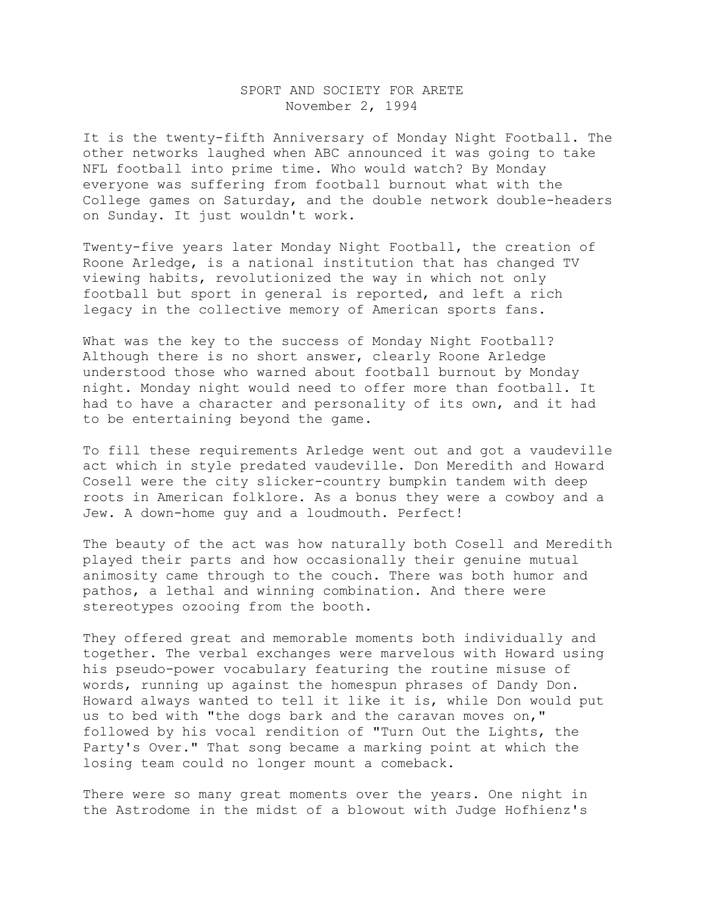## SPORT AND SOCIETY FOR ARETE November 2, 1994

It is the twenty-fifth Anniversary of Monday Night Football. The other networks laughed when ABC announced it was going to take NFL football into prime time. Who would watch? By Monday everyone was suffering from football burnout what with the College games on Saturday, and the double network double-headers on Sunday. It just wouldn't work.

Twenty-five years later Monday Night Football, the creation of Roone Arledge, is a national institution that has changed TV viewing habits, revolutionized the way in which not only football but sport in general is reported, and left a rich legacy in the collective memory of American sports fans.

What was the key to the success of Monday Night Football? Although there is no short answer, clearly Roone Arledge understood those who warned about football burnout by Monday night. Monday night would need to offer more than football. It had to have a character and personality of its own, and it had to be entertaining beyond the game.

To fill these requirements Arledge went out and got a vaudeville act which in style predated vaudeville. Don Meredith and Howard Cosell were the city slicker-country bumpkin tandem with deep roots in American folklore. As a bonus they were a cowboy and a Jew. A down-home guy and a loudmouth. Perfect!

The beauty of the act was how naturally both Cosell and Meredith played their parts and how occasionally their genuine mutual animosity came through to the couch. There was both humor and pathos, a lethal and winning combination. And there were stereotypes ozooing from the booth.

They offered great and memorable moments both individually and together. The verbal exchanges were marvelous with Howard using his pseudo-power vocabulary featuring the routine misuse of words, running up against the homespun phrases of Dandy Don. Howard always wanted to tell it like it is, while Don would put us to bed with "the dogs bark and the caravan moves on," followed by his vocal rendition of "Turn Out the Lights, the Party's Over." That song became a marking point at which the losing team could no longer mount a comeback.

There were so many great moments over the years. One night in the Astrodome in the midst of a blowout with Judge Hofhienz's